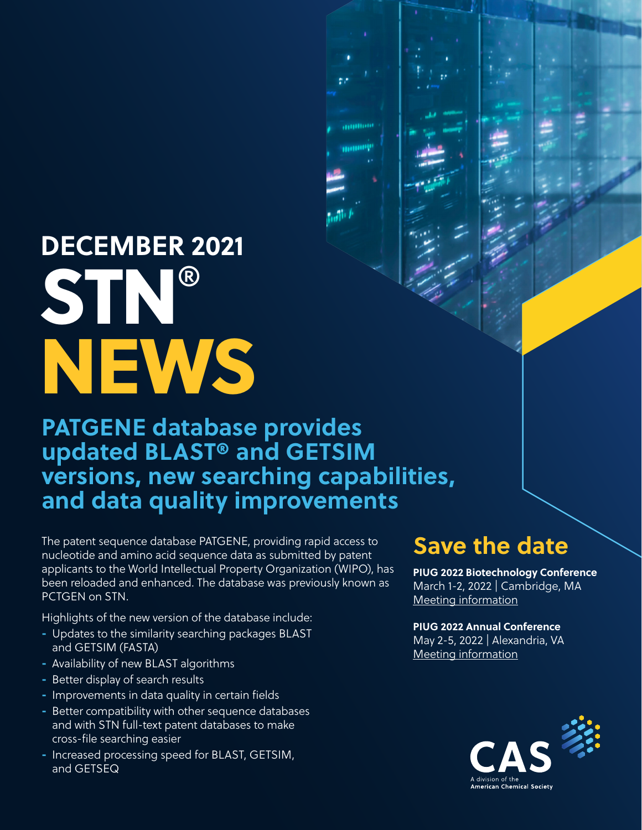# **DECEMBER 2021** STN® **NEWS**

### **PATGENE database provides updated BLAST® and GETSIM versions, new searching capabilities, and data quality improvements**

**ANDREW** 

monop

The patent sequence database PATGENE, providing rapid access to nucleotide and amino acid sequence data as submitted by patent applicants to the World Intellectual Property Organization (WIPO), has been reloaded and enhanced. The database was previously known as PCTGEN on STN.

Highlights of the new version of the database include:

- Updates to the similarity searching packages BLAST and GETSIM (FASTA)
- Availability of new BLAST algorithms
- Better display of search results
- Improvements in data quality in certain fields
- Better compatibility with other sequence databases and with STN full-text patent databases to make cross-file searching easier
- Increased processing speed for BLAST, GETSIM, and GETSEQ

#### **Save the date**

**PIUG 2022 Biotechnology Conference** March 1-2, 2022 | Cambridge, MA Meeting information

**PIUG 2022 Annual Conference** May 2-5, 2022 | Alexandria, VA Meeting information

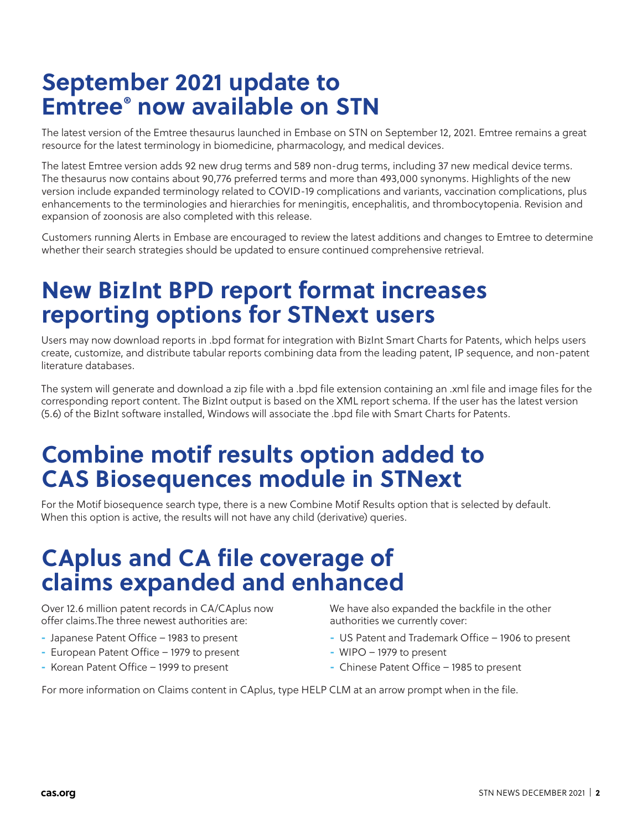# **September 2021 update to Emtree® now available on STN**

The latest version of the Emtree thesaurus launched in Embase on STN on September 12, 2021. Emtree remains a great resource for the latest terminology in biomedicine, pharmacology, and medical devices.

The latest Emtree version adds 92 new drug terms and 589 non-drug terms, including 37 new medical device terms. The thesaurus now contains about 90,776 preferred terms and more than 493,000 synonyms. Highlights of the new version include expanded terminology related to COVID-19 complications and variants, vaccination complications, plus enhancements to the terminologies and hierarchies for meningitis, encephalitis, and thrombocytopenia. Revision and expansion of zoonosis are also completed with this release.

Customers running Alerts in Embase are encouraged to review the latest additions and changes to Emtree to determine whether their search strategies should be updated to ensure continued comprehensive retrieval.

# **New BizInt BPD report format increases reporting options for STNext users**

Users may now download reports in .bpd format for integration with BizInt Smart Charts for Patents, which helps users create, customize, and distribute tabular reports combining data from the leading patent, IP sequence, and non-patent literature databases.

The system will generate and download a zip file with a .bpd file extension containing an .xml file and image files for the corresponding report content. The BizInt output is based on the XML report schema. If the user has the latest version (5.6) of the BizInt software installed, Windows will associate the .bpd file with Smart Charts for Patents.

## **Combine motif results option added to CAS Biosequences module in STNext**

For the Motif biosequence search type, there is a new Combine Motif Results option that is selected by default. When this option is active, the results will not have any child (derivative) queries.

# **CAplus and CA file coverage of claims expanded and enhanced**

Over 12.6 million patent records in CA/CAplus now offer claims.The three newest authorities are:

- Japanese Patent Office 1983 to present
- European Patent Office 1979 to present
- Korean Patent Office 1999 to present

We have also expanded the backfile in the other authorities we currently cover:

- US Patent and Trademark Office 1906 to present
- WIPO 1979 to present
- Chinese Patent Office 1985 to present

For more information on Claims content in CAplus, type HELP CLM at an arrow prompt when in the file.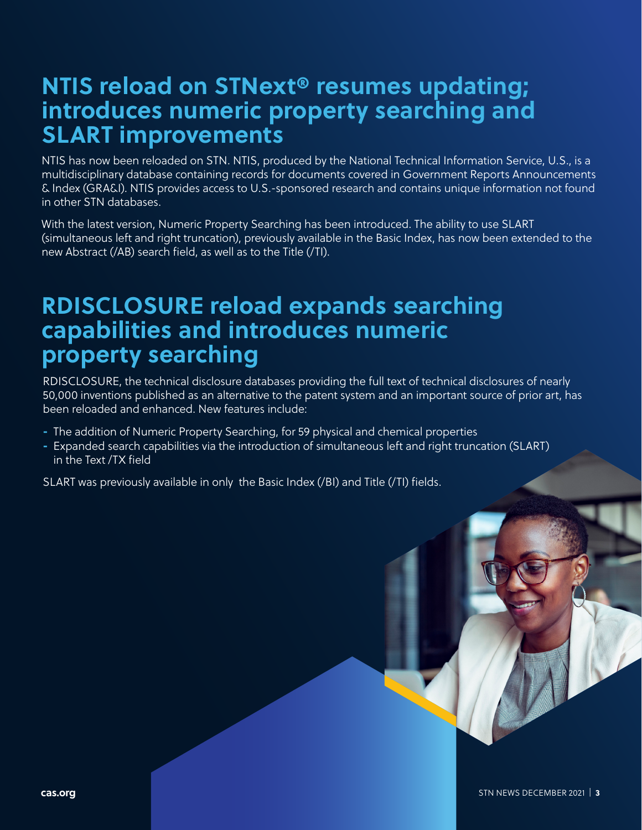#### **NTIS reload on STNext® resumes updating; introduces numeric property searching and SLART improvements**

NTIS has now been reloaded on STN. NTIS, produced by the National Technical Information Service, U.S., is a multidisciplinary database containing records for documents covered in Government Reports Announcements & Index (GRA&I). NTIS provides access to U.S.-sponsored research and contains unique information not found in other STN databases.

With the latest version, Numeric Property Searching has been introduced. The ability to use SLART (simultaneous left and right truncation), previously available in the Basic Index, has now been extended to the new Abstract (/AB) search field, as well as to the Title (/TI).

#### **RDISCLOSURE reload expands searching capabilities and introduces numeric property searching**

RDISCLOSURE, the technical disclosure databases providing the full text of technical disclosures of nearly 50,000 inventions published as an alternative to the patent system and an important source of prior art, has been reloaded and enhanced. New features include:

- The addition of Numeric Property Searching, for 59 physical and chemical properties
- Expanded search capabilities via the introduction of simultaneous left and right truncation (SLART) in the Text /TX field

SLART was previously available in only the Basic Index (/BI) and Title (/TI) fields.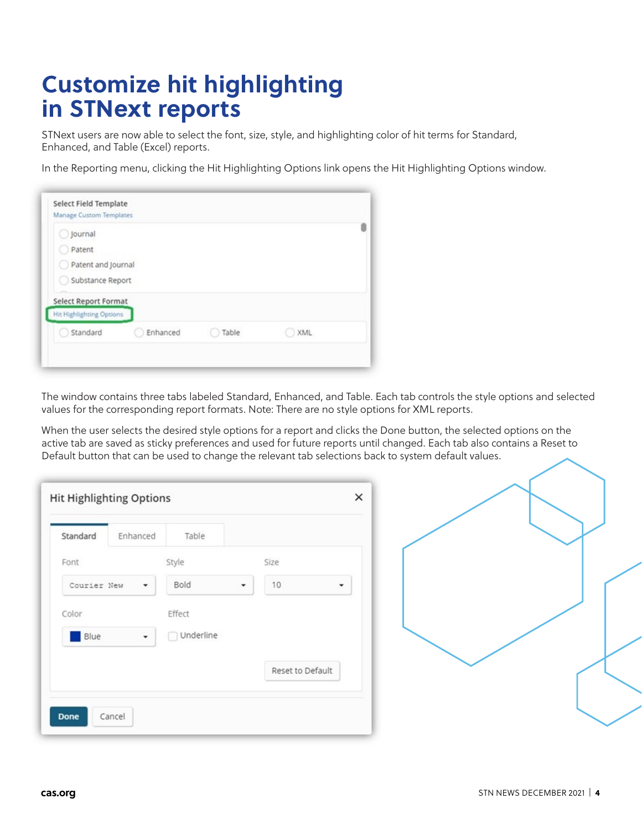# **Customize hit highlighting in STNext reports**

STNext users are now able to select the font, size, style, and highlighting color of hit terms for Standard, Enhanced, and Table (Excel) reports.

In the Reporting menu, clicking the Hit Highlighting Options link opens the Hit Highlighting Options window.

| Journal                  |          |       |     |  |
|--------------------------|----------|-------|-----|--|
| Patent                   |          |       |     |  |
| Patent and Journal       |          |       |     |  |
| Substance Report         |          |       |     |  |
| Select Report Format     |          |       |     |  |
| Hit Highlighting Options |          |       |     |  |
| Standard                 | Enhanced | Table | XML |  |

The window contains three tabs labeled Standard, Enhanced, and Table. Each tab controls the style options and selected values for the corresponding report formats. Note: There are no style options for XML reports.

When the user selects the desired style options for a report and clicks the Done button, the selected options on the active tab are saved as sticky preferences and used for future reports until changed. Each tab also contains a Reset to Default button that can be used to change the relevant tab selections back to system default values.

| Standard    | Enhanced | Table     |                  |
|-------------|----------|-----------|------------------|
| Font        |          | Style     | Size             |
| Courier New | ۰        | Bold      | 10<br>۰          |
| Color       |          | Effect    |                  |
| Blue        | ۰        | Underline |                  |
|             |          |           | Reset to Default |

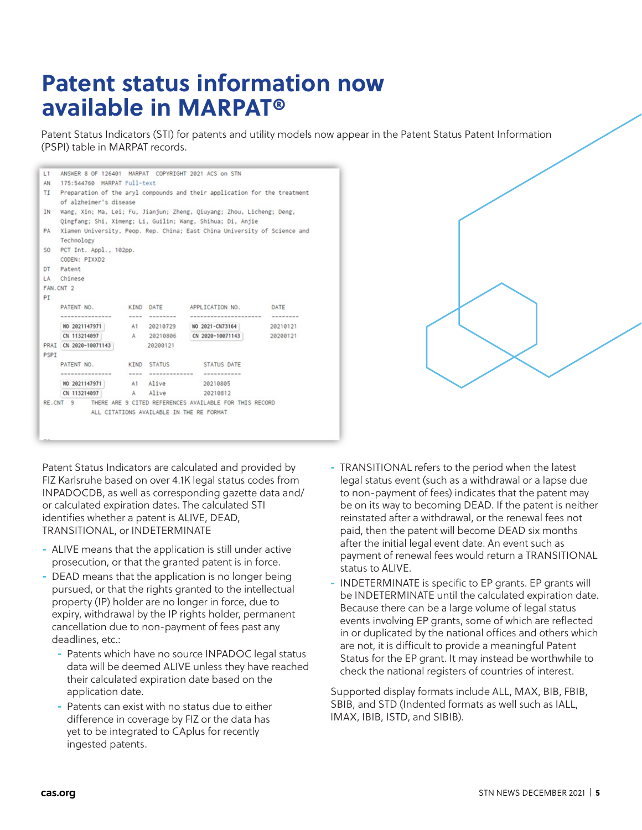## **Patent status information now available in MARPAT®**

Patent Status Indicators (STI) for patents and utility models now appear in the Patent Status Patent Information (PSPI) table in MARPAT records.

| L1        | ANSWER 8 OF 126401 MARPAT COPYRIGHT 2021 ACS on STN                       |          |                     |                                                        |          |  |  |  |  |
|-----------|---------------------------------------------------------------------------|----------|---------------------|--------------------------------------------------------|----------|--|--|--|--|
| AN.       | 175:544760 MARPAT Full-text                                               |          |                     |                                                        |          |  |  |  |  |
| TI        | Preparation of the aryl compounds and their application for the treatment |          |                     |                                                        |          |  |  |  |  |
|           | of alzheimer's disease                                                    |          |                     |                                                        |          |  |  |  |  |
| <b>IN</b> | Wang, Xin; Ma, Lei; Fu, Jianjun; Zheng, Qiuyang; Zhou, Licheng; Deng,     |          |                     |                                                        |          |  |  |  |  |
|           | Qingfang: Shi, Ximeng: Li, Guilin: Wang, Shihua: Di, Anjie                |          |                     |                                                        |          |  |  |  |  |
| PA        | Xiamen University, Peop. Rep. China; East China University of Science and |          |                     |                                                        |          |  |  |  |  |
|           | Technology                                                                |          |                     |                                                        |          |  |  |  |  |
|           | SO PCT Int. Appl., 102pp.                                                 |          |                     |                                                        |          |  |  |  |  |
|           | CODEN: PIXXD2                                                             |          |                     |                                                        |          |  |  |  |  |
|           | DT Patent                                                                 |          |                     |                                                        |          |  |  |  |  |
|           | LA Chinese                                                                |          |                     |                                                        |          |  |  |  |  |
|           | FAN.CNT <sub>2</sub>                                                      |          |                     |                                                        |          |  |  |  |  |
| PI        |                                                                           |          |                     |                                                        |          |  |  |  |  |
|           | PATENT NO.                                                                |          | KIND DATE           | APPLICATION NO.                                        | DATE     |  |  |  |  |
|           |                                                                           | ----     | --------            | ----------------------                                 | -------- |  |  |  |  |
|           | WO 2021147971                                                             |          |                     | A1 20210729 WO 2021-CN73164                            | 20210121 |  |  |  |  |
|           | CN 113214097                                                              |          |                     | A 20210806 CN 2020-10071143                            | 20200121 |  |  |  |  |
|           | PRAI CN 2020-10071143                                                     | 20200121 |                     |                                                        |          |  |  |  |  |
| PSPI      |                                                                           |          |                     |                                                        |          |  |  |  |  |
|           | PATENT NO.                                                                |          | KIND STATUS         | STATUS DATE                                            |          |  |  |  |  |
|           | ---------------                                                           |          | ----- ------------- | -----------                                            |          |  |  |  |  |
|           | WO 2021147971                                                             |          | A1 Alive            | 20210805                                               |          |  |  |  |  |
|           | CN 113214097                                                              |          | A Alive             | 20210812                                               |          |  |  |  |  |
|           | RE.CNT 9                                                                  |          |                     | THERE ARE 9 CITED REFERENCES AVAILABLE FOR THIS RECORD |          |  |  |  |  |
|           |                                                                           |          |                     | ALL CITATIONS AVAILABLE IN THE RE FORMAT               |          |  |  |  |  |
|           |                                                                           |          |                     |                                                        |          |  |  |  |  |
|           |                                                                           |          |                     |                                                        |          |  |  |  |  |

Patent Status Indicators are calculated and provided by FIZ Karlsruhe based on over 4.1K legal status codes from INPADOCDB, as well as corresponding gazette data and/ or calculated expiration dates. The calculated STI identifies whether a patent is ALIVE, DEAD, TRANSITIONAL, or INDETERMINATE

- ALIVE means that the application is still under active prosecution, or that the granted patent is in force.
- DEAD means that the application is no longer being pursued, or that the rights granted to the intellectual property (IP) holder are no longer in force, due to expiry, withdrawal by the IP rights holder, permanent cancellation due to non-payment of fees past any deadlines, etc.:
	- Patents which have no source INPADOC legal status data will be deemed ALIVE unless they have reached their calculated expiration date based on the application date.
	- Patents can exist with no status due to either difference in coverage by FIZ or the data has yet to be integrated to CAplus for recently ingested patents.
- TRANSITIONAL refers to the period when the latest legal status event (such as a withdrawal or a lapse due to non-payment of fees) indicates that the patent may be on its way to becoming DEAD. If the patent is neither reinstated after a withdrawal, or the renewal fees not paid, then the patent will become DEAD six months after the initial legal event date. An event such as payment of renewal fees would return a TRANSITIONAL status to ALIVE.
- INDETERMINATE is specific to EP grants. EP grants will be INDETERMINATE until the calculated expiration date. Because there can be a large volume of legal status events involving EP grants, some of which are reflected in or duplicated by the national offices and others which are not, it is difficult to provide a meaningful Patent Status for the EP grant. It may instead be worthwhile to check the national registers of countries of interest.

Supported display formats include ALL, MAX, BIB, FBIB, SBIB, and STD (Indented formats as well such as IALL, IMAX, IBIB, ISTD, and SIBIB).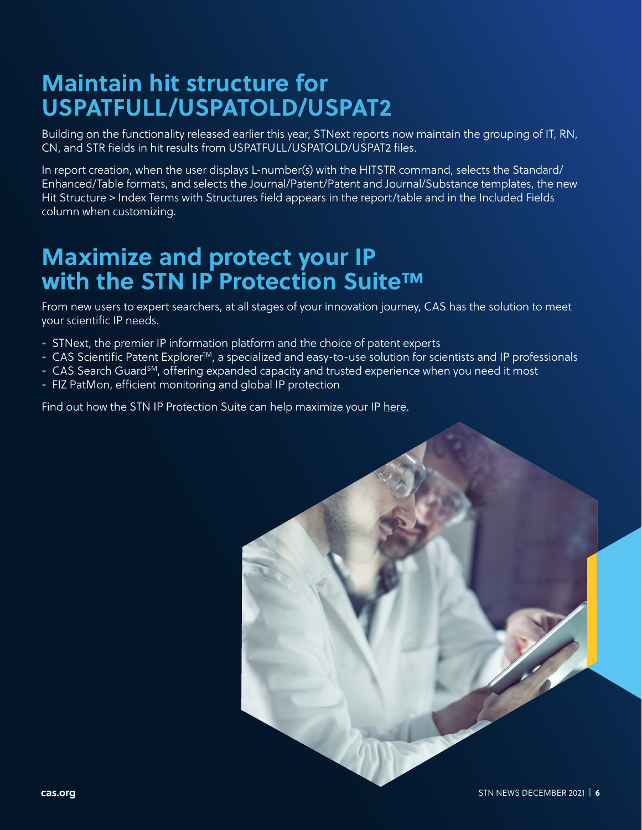# **Maintain hit structure for USPATFULL/USPATOLD/USPAT2**

Building on the functionality released earlier this year, STNext reports now maintain the grouping of IT, RN, CN, and STR fields in hit results from USPATFULL/USPATOLD/USPAT2 files.

In report creation, when the user displays L-number(s) with the HITSTR command, selects the Standard/ Enhanced/Table formats, and selects the Journal/Patent/Patent and Journal/Substance templates, the new Hit Structure > Index Terms with Structures field appears in the report/table and in the Included Fields column when customizing.

### **Maximize and protect your IP with the STN IP Protection Suite™**

From new users to expert searchers, at all stages of your innovation journey, CAS has the solution to meet your scientific IP needs.

- STNext, the premier IP information platform and the choice of patent experts
- CAS Scientific Patent Explorer<sup>™</sup>, a specialized and easy-to-use solution for scientists and IP professionals
- CAS Search Guard<sup>sm</sup>, offering expanded capacity and trusted experience when you need it most
- FIZ PatMon, efficient monitoring and global IP protection

Find out how the STN IP Protection Suite can help maximize your IP here.